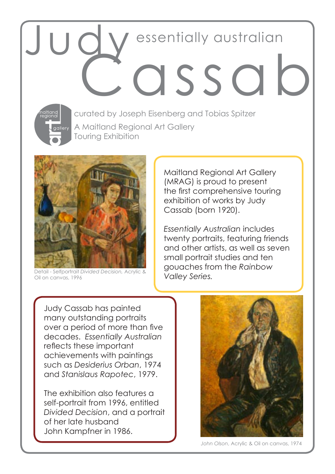# JUQY essentially austral essentially australian



A Maitland Regional Art Gallery Touring Exhibition curated by Joseph Eisenberg and Tobias Spitzer



Detail - Selfportrait *Divided Decision,* Acrylic & Oil on canvas, 1996

Maitland Regional Art Gallery (MRAG) is proud to present the first comprehensive touring exhibition of works by Judy Cassab (born 1920).

*Essentially Australian* includes twenty portraits, featuring friends and other artists, as well as seven small portrait studies and ten gouaches from the *Rainbow Valley Series.*

Judy Cassab has painted many outstanding portraits over a period of more than five decades. *Essentially Australian*  reflects these important achievements with paintings such as *Desiderius Orban*, 1974 and *Stanislaus Rapotec*, 1979.

The exhibition also features a self-portrait from 1996, entitled *Divided Decision*, and a portrait of her late husband John Kampfner in 1986.



*John Olson*, Acrylic & Oil on canvas, 1974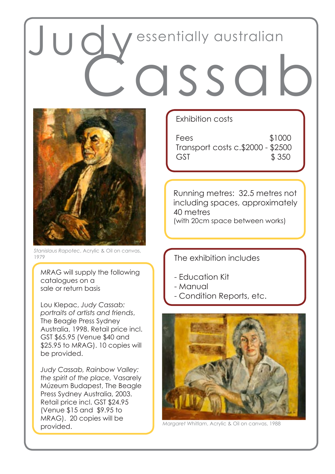## OSSO essentially australian



*Stanislaus Rapotec*, Acrylic & Oil on canvas, 1979

MRAG will supply the following catalogues on a sale or return basis

Lou Klepac, *Judy Cassab: portraits of artists and friends*, The Beagle Press Sydney Australia, 1998. Retail price incl. GST \$65.95 (Venue \$40 and \$25.95 to MRAG). 10 copies will be provided.

*Judy Cassab, Rainbow Valley: the spirit of the place,* Vasarely Múzeum Budapest, The Beagle Press Sydney Australia, 2003. Retail price incl. GST \$24.95 (Venue \$15 and \$9.95 to MRAG). 20 copies will be provided.

### Exhibition costs

Fees \$1000 Transport costs c.\$2000 - \$2500 GST \$ 350

Running metres: 32.5 metres not including spaces, approximately 40 metres (with 20cm space between works)

The exhibition includes

- Education Kit
- Manual
- Condition Reports, etc.



*Margaret Whitlam*, Acrylic & Oil on canvas, 1988